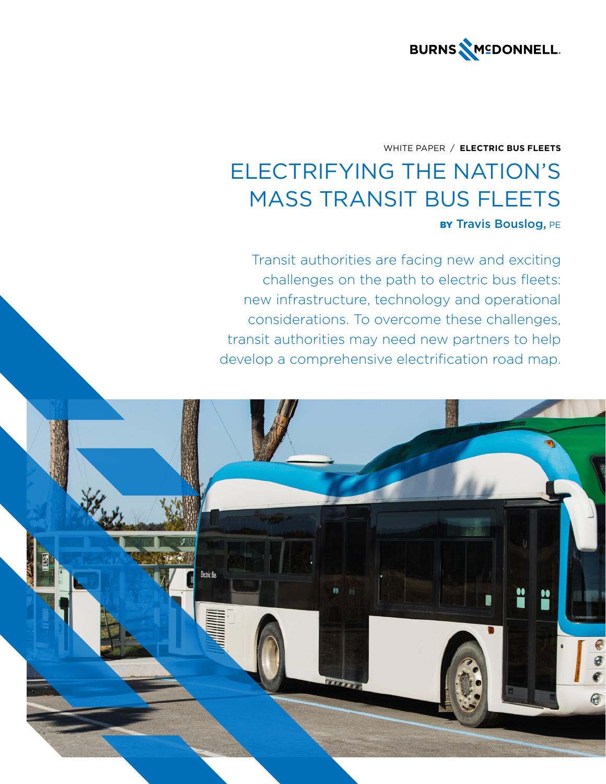

# WHITE PAPER / **ELECTRIC BUS FLEETS** ELECTRIFYING THE NATION'S MASS TRANSIT BUS FLEETS BY Travis Bouslog, PE

Transit authorities are facing new and exciting challenges on the path to electric bus fleets: new infrastructure, technology and operational considerations. To overcome these challenges, transit authorities may need new partners to help develop a comprehensive electrification road map.

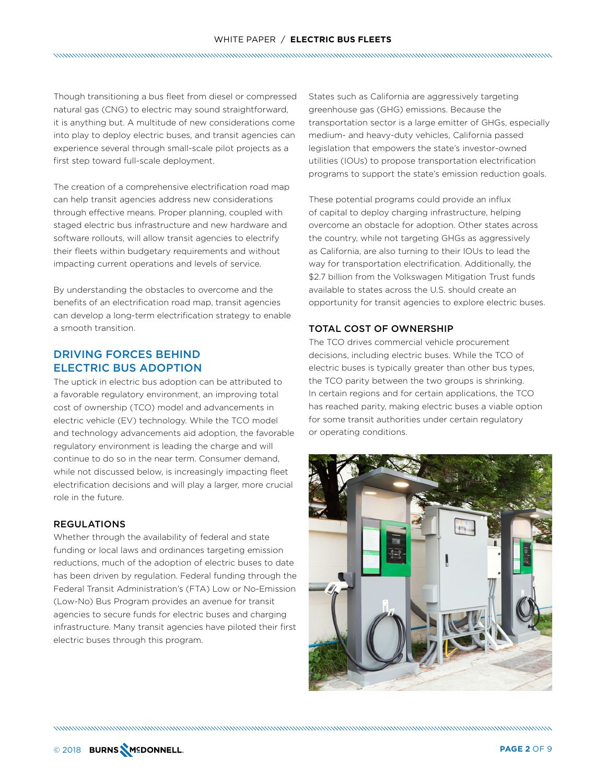Though transitioning a bus fleet from diesel or compressed natural gas (CNG) to electric may sound straightforward, it is anything but. A multitude of new considerations come into play to deploy electric buses, and transit agencies can experience several through small-scale pilot projects as a first step toward full-scale deployment.

The creation of a comprehensive electrification road map can help transit agencies address new considerations through effective means. Proper planning, coupled with staged electric bus infrastructure and new hardware and software rollouts, will allow transit agencies to electrify their fleets within budgetary requirements and without impacting current operations and levels of service.

By understanding the obstacles to overcome and the benefits of an electrification road map, transit agencies can develop a long-term electrification strategy to enable a smooth transition.

# DRIVING FORCES BEHIND ELECTRIC BUS ADOPTION

The uptick in electric bus adoption can be attributed to a favorable regulatory environment, an improving total cost of ownership (TCO) model and advancements in electric vehicle (EV) technology. While the TCO model and technology advancements aid adoption, the favorable regulatory environment is leading the charge and will continue to do so in the near term. Consumer demand, while not discussed below, is increasingly impacting fleet electrification decisions and will play a larger, more crucial role in the future.

# **REGULATIONS**

Whether through the availability of federal and state funding or local laws and ordinances targeting emission reductions, much of the adoption of electric buses to date has been driven by regulation. Federal funding through the Federal Transit Administration's (FTA) Low or No-Emission (Low-No) Bus Program provides an avenue for transit agencies to secure funds for electric buses and charging infrastructure. Many transit agencies have piloted their first electric buses through this program.

States such as California are aggressively targeting greenhouse gas (GHG) emissions. Because the transportation sector is a large emitter of GHGs, especially medium- and heavy-duty vehicles, California passed legislation that empowers the state's investor-owned utilities (IOUs) to propose transportation electrification programs to support the state's emission reduction goals.

These potential programs could provide an influx of capital to deploy charging infrastructure, helping overcome an obstacle for adoption. Other states across the country, while not targeting GHGs as aggressively as California, are also turning to their IOUs to lead the way for transportation electrification. Additionally, the \$2.7 billion from the Volkswagen Mitigation Trust funds available to states across the U.S. should create an opportunity for transit agencies to explore electric buses.

#### TOTAL COST OF OWNERSHIP

The TCO drives commercial vehicle procurement decisions, including electric buses. While the TCO of electric buses is typically greater than other bus types, the TCO parity between the two groups is shrinking. In certain regions and for certain applications, the TCO has reached parity, making electric buses a viable option for some transit authorities under certain regulatory or operating conditions.

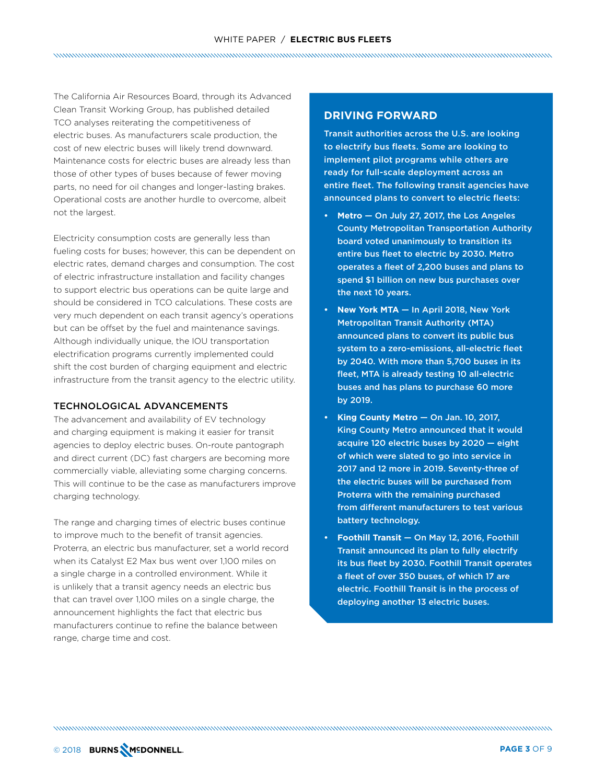The California Air Resources Board, through its Advanced Clean Transit Working Group, has published detailed TCO analyses reiterating the competitiveness of electric buses. As manufacturers scale production, the cost of new electric buses will likely trend downward. Maintenance costs for electric buses are already less than those of other types of buses because of fewer moving parts, no need for oil changes and longer-lasting brakes. Operational costs are another hurdle to overcome, albeit not the largest.

Electricity consumption costs are generally less than fueling costs for buses; however, this can be dependent on electric rates, demand charges and consumption. The cost of electric infrastructure installation and facility changes to support electric bus operations can be quite large and should be considered in TCO calculations. These costs are very much dependent on each transit agency's operations but can be offset by the fuel and maintenance savings. Although individually unique, the IOU transportation electrification programs currently implemented could shift the cost burden of charging equipment and electric infrastructure from the transit agency to the electric utility.

#### TECHNOLOGICAL ADVANCEMENTS

The advancement and availability of EV technology and charging equipment is making it easier for transit agencies to deploy electric buses. On-route pantograph and direct current (DC) fast chargers are becoming more commercially viable, alleviating some charging concerns. This will continue to be the case as manufacturers improve charging technology.

The range and charging times of electric buses continue to improve much to the benefit of transit agencies. Proterra, an electric bus manufacturer, set a world record when its Catalyst E2 Max bus went over 1,100 miles on a single charge in a controlled environment. While it is unlikely that a transit agency needs an electric bus that can travel over 1,100 miles on a single charge, the announcement highlights the fact that electric bus manufacturers continue to refine the balance between range, charge time and cost.

# **DRIVING FORWARD**

Transit authorities across the U.S. are looking to electrify bus fleets. Some are looking to implement pilot programs while others are ready for full-scale deployment across an entire fleet. The following transit agencies have announced plans to convert to electric fleets:

- **• Metro** On July 27, 2017, the Los Angeles County Metropolitan Transportation Authority board voted unanimously to transition its entire bus fleet to electric by 2030. Metro operates a fleet of 2,200 buses and plans to spend \$1 billion on new bus purchases over the next 10 years.
- **• New York MTA** In April 2018, New York Metropolitan Transit Authority (MTA) announced plans to convert its public bus system to a zero-emissions, all-electric fleet by 2040. With more than 5,700 buses in its fleet, MTA is already testing 10 all-electric buses and has plans to purchase 60 more by 2019.
- **• King County Metro** On Jan. 10, 2017, King County Metro announced that it would acquire 120 electric buses by 2020 — eight of which were slated to go into service in 2017 and 12 more in 2019. Seventy-three of the electric buses will be purchased from Proterra with the remaining purchased from different manufacturers to test various battery technology.
- **• Foothill Transit** On May 12, 2016, Foothill Transit announced its plan to fully electrify its bus fleet by 2030. Foothill Transit operates a fleet of over 350 buses, of which 17 are electric. Foothill Transit is in the process of deploying another 13 electric buses.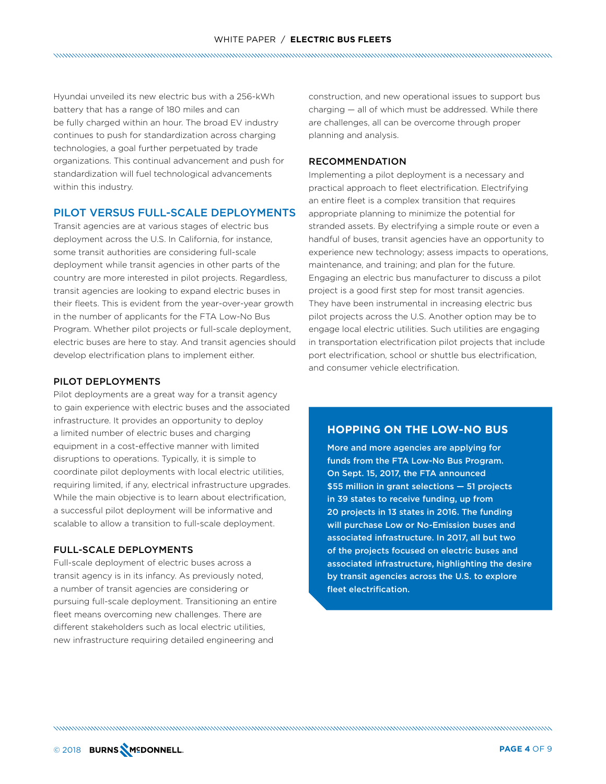Hyundai unveiled its new electric bus with a 256-kWh battery that has a range of 180 miles and can be fully charged within an hour. The broad EV industry continues to push for standardization across charging technologies, a goal further perpetuated by trade organizations. This continual advancement and push for standardization will fuel technological advancements within this industry.

# PILOT VERSUS FULL-SCALE DEPLOYMENTS

Transit agencies are at various stages of electric bus deployment across the U.S. In California, for instance, some transit authorities are considering full-scale deployment while transit agencies in other parts of the country are more interested in pilot projects. Regardless, transit agencies are looking to expand electric buses in their fleets. This is evident from the year-over-year growth in the number of applicants for the FTA Low-No Bus Program. Whether pilot projects or full-scale deployment, electric buses are here to stay. And transit agencies should develop electrification plans to implement either.

#### PILOT DEPLOYMENTS

Pilot deployments are a great way for a transit agency to gain experience with electric buses and the associated infrastructure. It provides an opportunity to deploy a limited number of electric buses and charging equipment in a cost-effective manner with limited disruptions to operations. Typically, it is simple to coordinate pilot deployments with local electric utilities, requiring limited, if any, electrical infrastructure upgrades. While the main objective is to learn about electrification, a successful pilot deployment will be informative and scalable to allow a transition to full-scale deployment.

#### FULL-SCALE DEPLOYMENTS

Full-scale deployment of electric buses across a transit agency is in its infancy. As previously noted, a number of transit agencies are considering or pursuing full-scale deployment. Transitioning an entire fleet means overcoming new challenges. There are different stakeholders such as local electric utilities, new infrastructure requiring detailed engineering and

construction, and new operational issues to support bus charging — all of which must be addressed. While there are challenges, all can be overcome through proper planning and analysis.

# RECOMMENDATION

Implementing a pilot deployment is a necessary and practical approach to fleet electrification. Electrifying an entire fleet is a complex transition that requires appropriate planning to minimize the potential for stranded assets. By electrifying a simple route or even a handful of buses, transit agencies have an opportunity to experience new technology; assess impacts to operations, maintenance, and training; and plan for the future. Engaging an electric bus manufacturer to discuss a pilot project is a good first step for most transit agencies. They have been instrumental in increasing electric bus pilot projects across the U.S. Another option may be to engage local electric utilities. Such utilities are engaging in transportation electrification pilot projects that include port electrification, school or shuttle bus electrification, and consumer vehicle electrification.

# **HOPPING ON THE LOW-NO BUS**

More and more agencies are applying for funds from the FTA Low-No Bus Program. On Sept. 15, 2017, the FTA announced \$55 million in grant selections — 51 projects in 39 states to receive funding, up from 20 projects in 13 states in 2016. The funding will purchase Low or No-Emission buses and associated infrastructure. In 2017, all but two of the projects focused on electric buses and associated infrastructure, highlighting the desire by transit agencies across the U.S. to explore fleet electrification.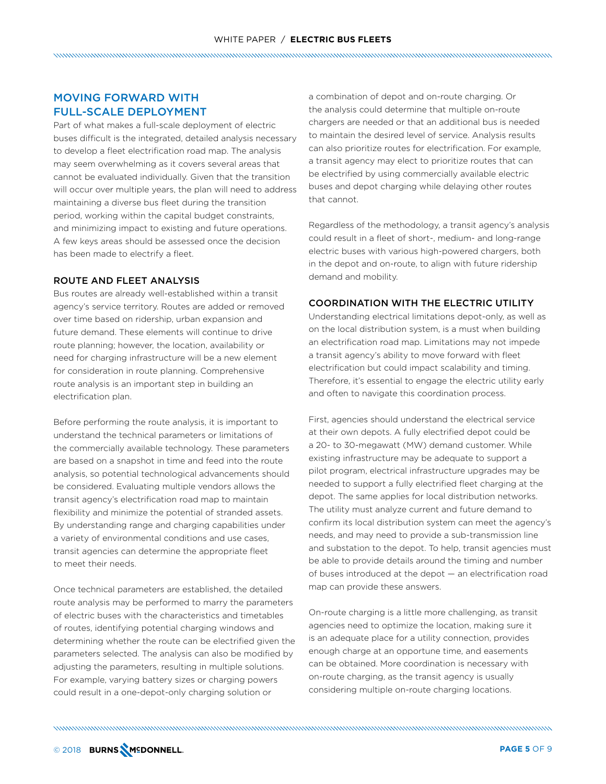# MOVING FORWARD WITH FULL-SCALE DEPLOYMENT

Part of what makes a full-scale deployment of electric buses difficult is the integrated, detailed analysis necessary to develop a fleet electrification road map. The analysis may seem overwhelming as it covers several areas that cannot be evaluated individually. Given that the transition will occur over multiple years, the plan will need to address maintaining a diverse bus fleet during the transition period, working within the capital budget constraints, and minimizing impact to existing and future operations. A few keys areas should be assessed once the decision has been made to electrify a fleet.

#### ROUTE AND FLEET ANALYSIS

Bus routes are already well-established within a transit agency's service territory. Routes are added or removed over time based on ridership, urban expansion and future demand. These elements will continue to drive route planning; however, the location, availability or need for charging infrastructure will be a new element for consideration in route planning. Comprehensive route analysis is an important step in building an electrification plan.

Before performing the route analysis, it is important to understand the technical parameters or limitations of the commercially available technology. These parameters are based on a snapshot in time and feed into the route analysis, so potential technological advancements should be considered. Evaluating multiple vendors allows the transit agency's electrification road map to maintain flexibility and minimize the potential of stranded assets. By understanding range and charging capabilities under a variety of environmental conditions and use cases, transit agencies can determine the appropriate fleet to meet their needs.

Once technical parameters are established, the detailed route analysis may be performed to marry the parameters of electric buses with the characteristics and timetables of routes, identifying potential charging windows and determining whether the route can be electrified given the parameters selected. The analysis can also be modified by adjusting the parameters, resulting in multiple solutions. For example, varying battery sizes or charging powers could result in a one-depot-only charging solution or

a combination of depot and on-route charging. Or the analysis could determine that multiple on-route chargers are needed or that an additional bus is needed to maintain the desired level of service. Analysis results can also prioritize routes for electrification. For example, a transit agency may elect to prioritize routes that can be electrified by using commercially available electric buses and depot charging while delaying other routes that cannot.

Regardless of the methodology, a transit agency's analysis could result in a fleet of short-, medium- and long-range electric buses with various high-powered chargers, both in the depot and on-route, to align with future ridership demand and mobility.

#### COORDINATION WITH THE ELECTRIC UTILITY

Understanding electrical limitations depot-only, as well as on the local distribution system, is a must when building an electrification road map. Limitations may not impede a transit agency's ability to move forward with fleet electrification but could impact scalability and timing. Therefore, it's essential to engage the electric utility early and often to navigate this coordination process.

First, agencies should understand the electrical service at their own depots. A fully electrified depot could be a 20- to 30-megawatt (MW) demand customer. While existing infrastructure may be adequate to support a pilot program, electrical infrastructure upgrades may be needed to support a fully electrified fleet charging at the depot. The same applies for local distribution networks. The utility must analyze current and future demand to confirm its local distribution system can meet the agency's needs, and may need to provide a sub-transmission line and substation to the depot. To help, transit agencies must be able to provide details around the timing and number of buses introduced at the depot — an electrification road map can provide these answers.

On-route charging is a little more challenging, as transit agencies need to optimize the location, making sure it is an adequate place for a utility connection, provides enough charge at an opportune time, and easements can be obtained. More coordination is necessary with on-route charging, as the transit agency is usually considering multiple on-route charging locations.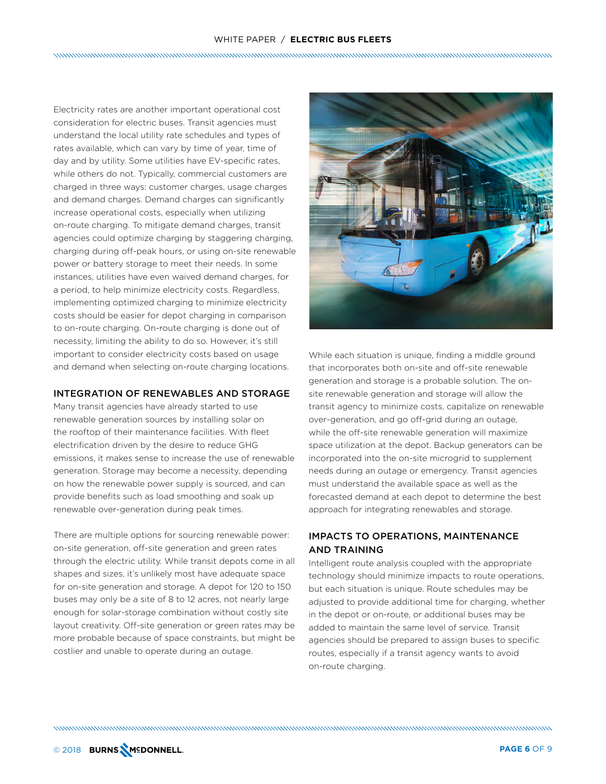# WHITE PAPER / **ELECTRIC BUS FLEETS**

Electricity rates are another important operational cost consideration for electric buses. Transit agencies must understand the local utility rate schedules and types of rates available, which can vary by time of year, time of day and by utility. Some utilities have EV-specific rates, while others do not. Typically, commercial customers are charged in three ways: customer charges, usage charges and demand charges. Demand charges can significantly increase operational costs, especially when utilizing on-route charging. To mitigate demand charges, transit agencies could optimize charging by staggering charging, charging during off-peak hours, or using on-site renewable power or battery storage to meet their needs. In some instances, utilities have even waived demand charges, for a period, to help minimize electricity costs. Regardless, implementing optimized charging to minimize electricity costs should be easier for depot charging in comparison to on-route charging. On-route charging is done out of necessity, limiting the ability to do so. However, it's still important to consider electricity costs based on usage and demand when selecting on-route charging locations.

#### INTEGRATION OF RENEWABLES AND STORAGE

Many transit agencies have already started to use renewable generation sources by installing solar on the rooftop of their maintenance facilities. With fleet electrification driven by the desire to reduce GHG emissions, it makes sense to increase the use of renewable generation. Storage may become a necessity, depending on how the renewable power supply is sourced, and can provide benefits such as load smoothing and soak up renewable over-generation during peak times.

There are multiple options for sourcing renewable power: on-site generation, off-site generation and green rates through the electric utility. While transit depots come in all shapes and sizes, it's unlikely most have adequate space for on-site generation and storage. A depot for 120 to 150 buses may only be a site of 8 to 12 acres, not nearly large enough for solar-storage combination without costly site layout creativity. Off-site generation or green rates may be more probable because of space constraints, but might be costlier and unable to operate during an outage.



While each situation is unique, finding a middle ground that incorporates both on-site and off-site renewable generation and storage is a probable solution. The onsite renewable generation and storage will allow the transit agency to minimize costs, capitalize on renewable over-generation, and go off-grid during an outage, while the off-site renewable generation will maximize space utilization at the depot. Backup generators can be incorporated into the on-site microgrid to supplement needs during an outage or emergency. Transit agencies must understand the available space as well as the forecasted demand at each depot to determine the best approach for integrating renewables and storage.

# IMPACTS TO OPERATIONS, MAINTENANCE AND TRAINING

Intelligent route analysis coupled with the appropriate technology should minimize impacts to route operations, but each situation is unique. Route schedules may be adjusted to provide additional time for charging, whether in the depot or on-route, or additional buses may be added to maintain the same level of service. Transit agencies should be prepared to assign buses to specific routes, especially if a transit agency wants to avoid on-route charging.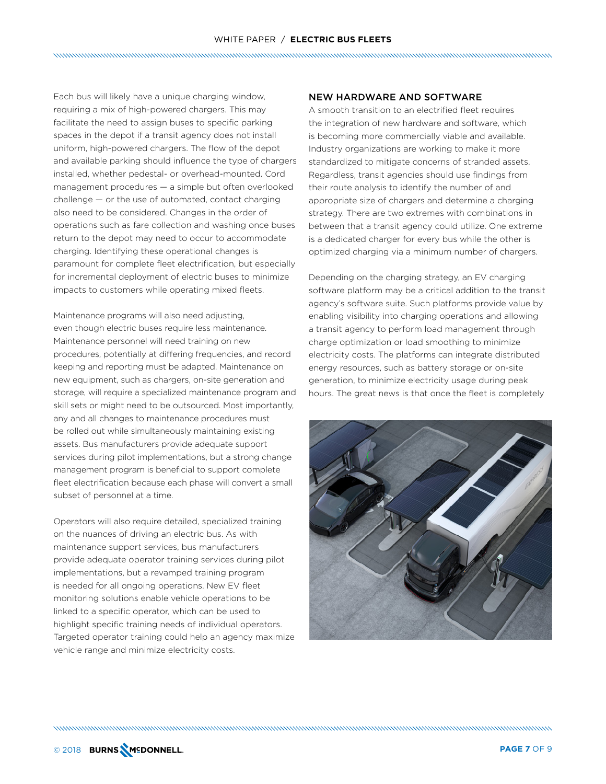Each bus will likely have a unique charging window, requiring a mix of high-powered chargers. This may facilitate the need to assign buses to specific parking spaces in the depot if a transit agency does not install uniform, high-powered chargers. The flow of the depot and available parking should influence the type of chargers installed, whether pedestal- or overhead-mounted. Cord management procedures — a simple but often overlooked challenge — or the use of automated, contact charging also need to be considered. Changes in the order of operations such as fare collection and washing once buses return to the depot may need to occur to accommodate charging. Identifying these operational changes is paramount for complete fleet electrification, but especially for incremental deployment of electric buses to minimize impacts to customers while operating mixed fleets.

Maintenance programs will also need adjusting, even though electric buses require less maintenance. Maintenance personnel will need training on new procedures, potentially at differing frequencies, and record keeping and reporting must be adapted. Maintenance on new equipment, such as chargers, on-site generation and storage, will require a specialized maintenance program and skill sets or might need to be outsourced. Most importantly, any and all changes to maintenance procedures must be rolled out while simultaneously maintaining existing assets. Bus manufacturers provide adequate support services during pilot implementations, but a strong change management program is beneficial to support complete fleet electrification because each phase will convert a small subset of personnel at a time.

Operators will also require detailed, specialized training on the nuances of driving an electric bus. As with maintenance support services, bus manufacturers provide adequate operator training services during pilot implementations, but a revamped training program is needed for all ongoing operations. New EV fleet monitoring solutions enable vehicle operations to be linked to a specific operator, which can be used to highlight specific training needs of individual operators. Targeted operator training could help an agency maximize vehicle range and minimize electricity costs.

#### NEW HARDWARE AND SOFTWARE

A smooth transition to an electrified fleet requires the integration of new hardware and software, which is becoming more commercially viable and available. Industry organizations are working to make it more standardized to mitigate concerns of stranded assets. Regardless, transit agencies should use findings from their route analysis to identify the number of and appropriate size of chargers and determine a charging strategy. There are two extremes with combinations in between that a transit agency could utilize. One extreme is a dedicated charger for every bus while the other is optimized charging via a minimum number of chargers.

Depending on the charging strategy, an EV charging software platform may be a critical addition to the transit agency's software suite. Such platforms provide value by enabling visibility into charging operations and allowing a transit agency to perform load management through charge optimization or load smoothing to minimize electricity costs. The platforms can integrate distributed energy resources, such as battery storage or on-site generation, to minimize electricity usage during peak hours. The great news is that once the fleet is completely

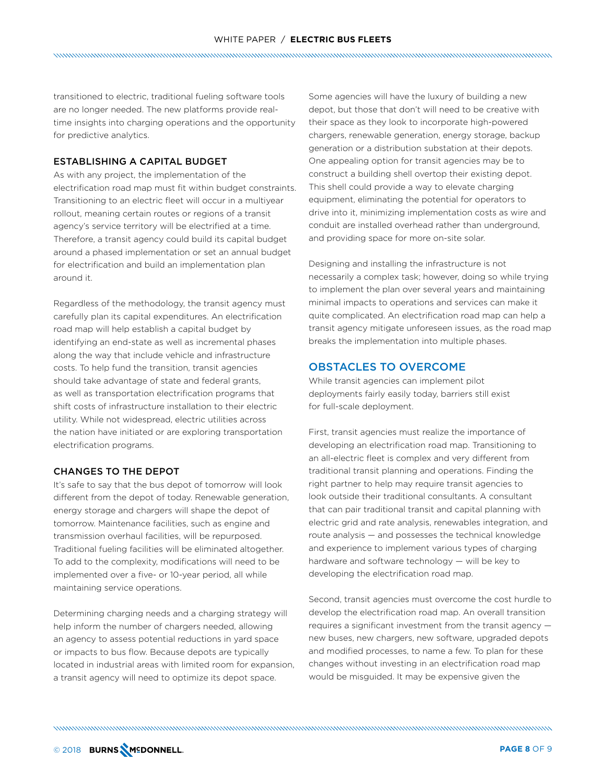transitioned to electric, traditional fueling software tools are no longer needed. The new platforms provide realtime insights into charging operations and the opportunity for predictive analytics.

#### ESTABLISHING A CAPITAL BUDGET

As with any project, the implementation of the electrification road map must fit within budget constraints. Transitioning to an electric fleet will occur in a multiyear rollout, meaning certain routes or regions of a transit agency's service territory will be electrified at a time. Therefore, a transit agency could build its capital budget around a phased implementation or set an annual budget for electrification and build an implementation plan around it.

Regardless of the methodology, the transit agency must carefully plan its capital expenditures. An electrification road map will help establish a capital budget by identifying an end-state as well as incremental phases along the way that include vehicle and infrastructure costs. To help fund the transition, transit agencies should take advantage of state and federal grants, as well as transportation electrification programs that shift costs of infrastructure installation to their electric utility. While not widespread, electric utilities across the nation have initiated or are exploring transportation electrification programs.

#### CHANGES TO THE DEPOT

It's safe to say that the bus depot of tomorrow will look different from the depot of today. Renewable generation, energy storage and chargers will shape the depot of tomorrow. Maintenance facilities, such as engine and transmission overhaul facilities, will be repurposed. Traditional fueling facilities will be eliminated altogether. To add to the complexity, modifications will need to be implemented over a five- or 10-year period, all while maintaining service operations.

Determining charging needs and a charging strategy will help inform the number of chargers needed, allowing an agency to assess potential reductions in yard space or impacts to bus flow. Because depots are typically located in industrial areas with limited room for expansion, a transit agency will need to optimize its depot space.

Some agencies will have the luxury of building a new depot, but those that don't will need to be creative with their space as they look to incorporate high-powered chargers, renewable generation, energy storage, backup generation or a distribution substation at their depots. One appealing option for transit agencies may be to construct a building shell overtop their existing depot. This shell could provide a way to elevate charging equipment, eliminating the potential for operators to drive into it, minimizing implementation costs as wire and conduit are installed overhead rather than underground, and providing space for more on-site solar.

Designing and installing the infrastructure is not necessarily a complex task; however, doing so while trying to implement the plan over several years and maintaining minimal impacts to operations and services can make it quite complicated. An electrification road map can help a transit agency mitigate unforeseen issues, as the road map breaks the implementation into multiple phases.

# OBSTACLES TO OVERCOME

While transit agencies can implement pilot deployments fairly easily today, barriers still exist for full-scale deployment.

First, transit agencies must realize the importance of developing an electrification road map. Transitioning to an all-electric fleet is complex and very different from traditional transit planning and operations. Finding the right partner to help may require transit agencies to look outside their traditional consultants. A consultant that can pair traditional transit and capital planning with electric grid and rate analysis, renewables integration, and route analysis — and possesses the technical knowledge and experience to implement various types of charging hardware and software technology — will be key to developing the electrification road map.

Second, transit agencies must overcome the cost hurdle to develop the electrification road map. An overall transition requires a significant investment from the transit agency new buses, new chargers, new software, upgraded depots and modified processes, to name a few. To plan for these changes without investing in an electrification road map would be misguided. It may be expensive given the